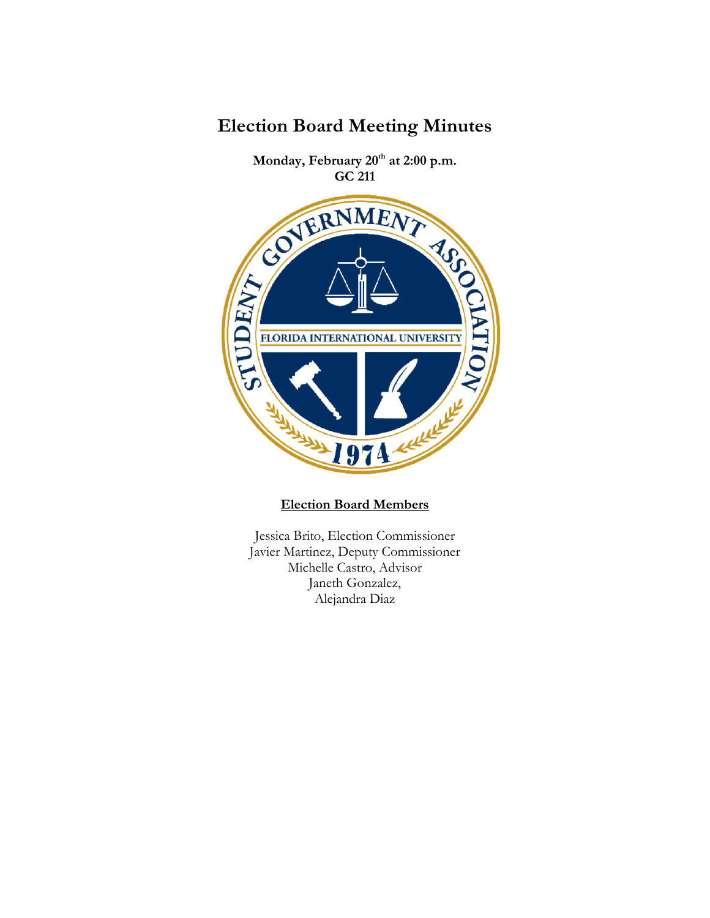

**Election Board Members**

Jessica Brito, Election Commissioner Javier Martinez, Deputy Commissioner Michelle Castro, Advisor Janeth Gonzalez, Alejandra Diaz

## **Election Board Meeting Minutes**